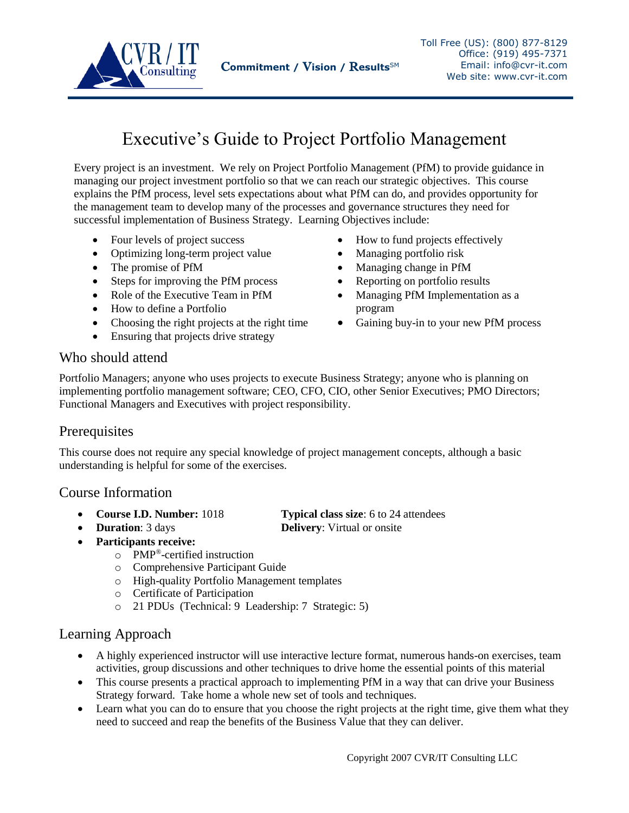

# Executive's Guide to Project Portfolio Management

Every project is an investment. We rely on Project Portfolio Management (PfM) to provide guidance in managing our project investment portfolio so that we can reach our strategic objectives. This course explains the PfM process, level sets expectations about what PfM can do, and provides opportunity for the management team to develop many of the processes and governance structures they need for successful implementation of Business Strategy.Learning Objectives include:

- Four levels of project success
- Optimizing long-term project value
- The promise of PfM
- Steps for improving the PfM process
- Role of the Executive Team in PfM
- How to define a Portfolio
- Choosing the right projects at the right time
- Ensuring that projects drive strategy
- How to fund projects effectively
- Managing portfolio risk
- Managing change in PfM
- Reporting on portfolio results
- Managing PfM Implementation as a program
- Gaining buy-in to your new PfM process

# Who should attend

Portfolio Managers; anyone who uses projects to execute Business Strategy; anyone who is planning on implementing portfolio management software; CEO, CFO, CIO, other Senior Executives; PMO Directors; Functional Managers and Executives with project responsibility.

# **Prerequisites**

This course does not require any special knowledge of project management concepts, although a basic understanding is helpful for some of the exercises.

# Course Information

- **Course I.D. Number:** 1018 **Typical class size**: 6 to 24 attendees
- **Duration**: 3 days **Delivery**: Virtual or onsite
- **Participants receive:**
	- o PMP®-certified instruction
	- o Comprehensive Participant Guide
	- o High-quality Portfolio Management templates
	- o Certificate of Participation
	- o 21 PDUs (Technical: 9 Leadership: 7 Strategic: 5)

# Learning Approach

- A highly experienced instructor will use interactive lecture format, numerous hands-on exercises, team activities, group discussions and other techniques to drive home the essential points of this material
- This course presents a practical approach to implementing PfM in a way that can drive your Business Strategy forward. Take home a whole new set of tools and techniques.
- Learn what you can do to ensure that you choose the right projects at the right time, give them what they need to succeed and reap the benefits of the Business Value that they can deliver.